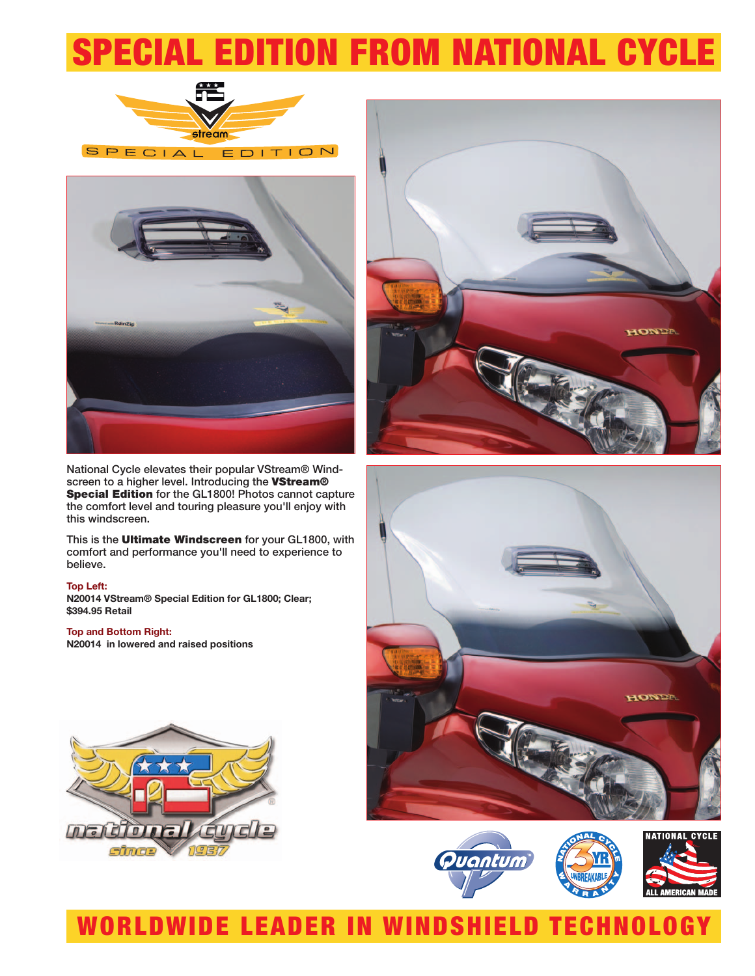# SPECIAL EDITION FROM NATIONAL CYCLE





National Cycle elevates their popular VStream® Windscreen to a higher level. Introducing the **VStream® Special Edition** for the GL1800! Photos cannot capture the comfort level and touring pleasure you'll enjoy with this windscreen.

This is the **Ultimate Windscreen** for your GL1800, with comfort and performance you'll need to experience to believe.

#### **Top Left:**

**N20014 VStream® Special Edition for GL1800; Clear; \$394.95 Retail**

#### **Top and Bottom Right:**

**N20014 in lowered and raised positions**









## WORLDWIDE LEADER IN WINDSHIELD TECHNOLOGY